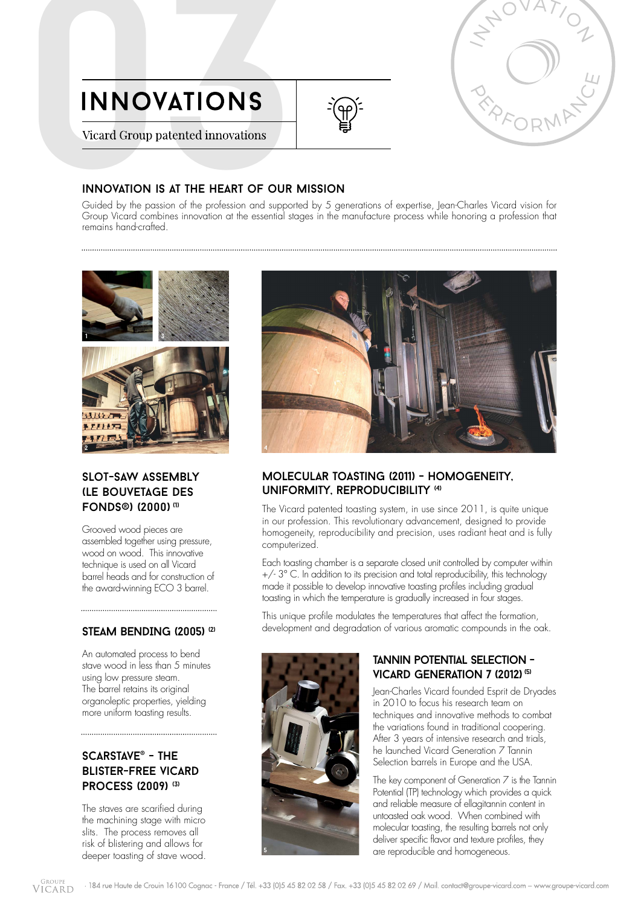



INNOVATIONS<br>Vicard Group patented innovations<br>Civided by the passion of the profession and supported by 5 ge<br>Group Vicard combines innovation at the essential stages in the r Guided by the passion of the profession and supported by 5 generations of expertise, Jean-Charles Vicard vision for Group Vicard combines innovation at the essential stages in the manufacture process while honoring a profession that remains hand-crafted.



# slot-saw assembly (le bouvetage des fonds®) (2000) (1)

Grooved wood pieces are assembled together using pressure, wood on wood. This innovative technique is used on all Vicard barrel heads and for construction of the award-winning ECO 3 barrel.

# STEAM BENDING (2005)<sup>(2)</sup>

An automated process to bend stave wood in less than 5 minutes using low pressure steam. The barrel retains its original organoleptic properties, yielding more uniform toasting results.

# scarstave® - the blister-free vicard process (2009) (3)

The staves are scarified during the machining stage with micro slits. The process removes all risk of blistering and allows for deeper toasting of stave wood.



# molecular toasting (2011) - homogeneity, uniformity, reproducibility (4)

The Vicard patented toasting system, in use since 2011, is quite unique in our profession. This revolutionary advancement, designed to provide homogeneity, reproducibility and precision, uses radiant heat and is fully computerized.

Each toasting chamber is a separate closed unit controlled by computer within +/- 3° C. In addition to its precision and total reproducibility, this technology made it possible to develop innovative toasting profiles including gradual toasting in which the temperature is gradually increased in four stages.

This unique profile modulates the temperatures that affect the formation, development and degradation of various aromatic compounds in the oak.



# tannin potential selection - VICARD GENERATION 7 (2012)<sup>(5)</sup>

Jean-Charles Vicard founded Esprit de Dryades in 2010 to focus his research team on techniques and innovative methods to combat the variations found in traditional coopering. After 3 years of intensive research and trials, he launched Vicard Generation 7 Tannin Selection barrels in Europe and the USA.

The key component of Generation 7 is the Tannin Potential (TP) technology which provides a quick and reliable measure of ellagitannin content in untoasted oak wood. When combined with molecular toasting, the resulting barrels not only deliver specific flavor and texture profiles, they are reproducible and homogeneous.